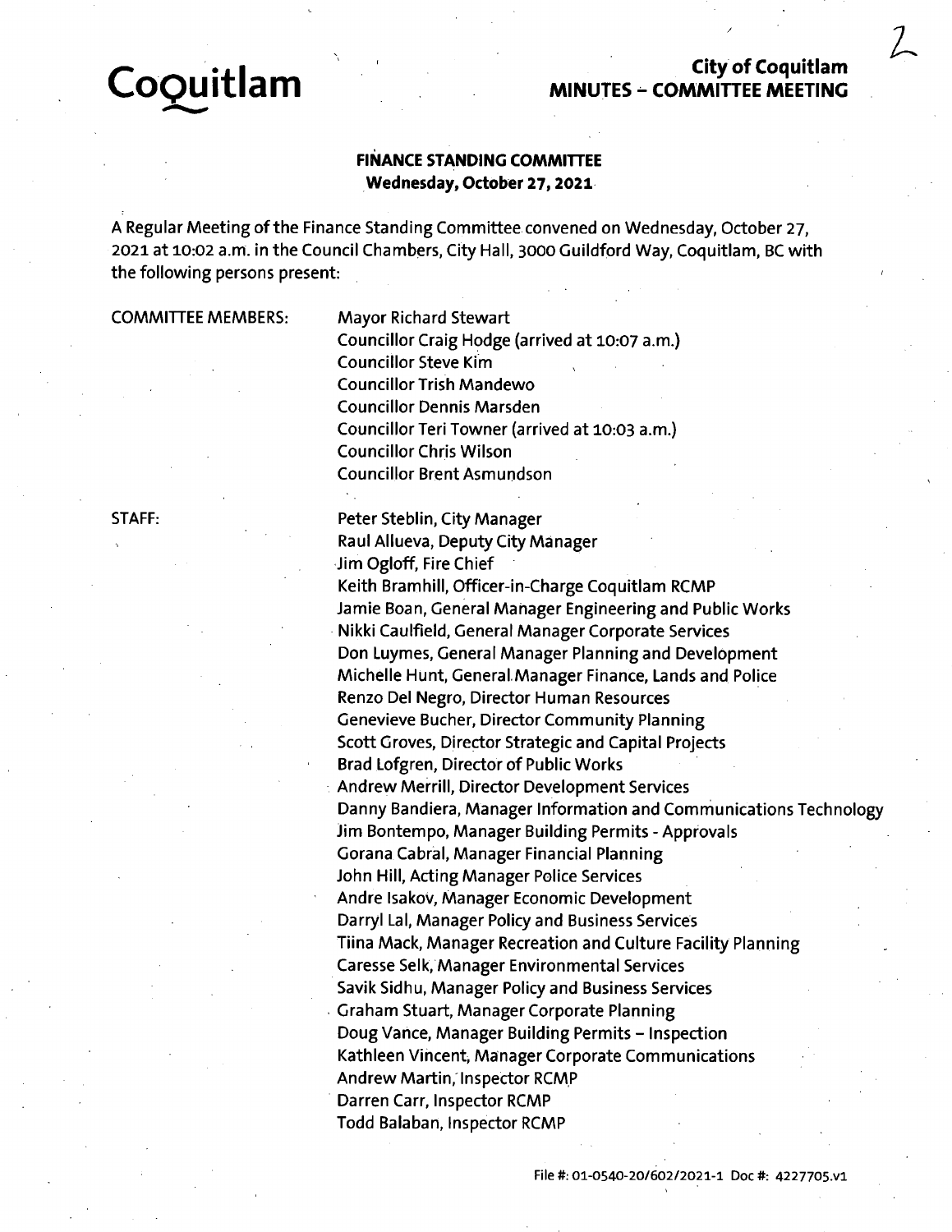# **City of Coquitlam MINUTES - COMMITTEE MEETING**

*/*

/

 $\mathcal{I}$ 

# **FINANCE STANDING COMMITTEE Wednesday, October 27,2021**

*I*

Regular Meeting of the Finance Standing Committee convened on Wednesday, October 27, 2021 at 10:02 a.m. in the Council Chambers, City Hall, 3000 Guildford Way, Coquitlam, BC with the following persons present:

COMMITTEE MEMBERS:

**CoQuitlam**

Mayor Richard Stewart Councillor Craig Hodge (arrived at 10:07 a.m.) Councillor Steve Kim Councillor Trish Mandewo Councillor Dennis Marsden Councillor Teri Towner (arrived at 10:03 a.m.) Councillor Chris Wilson Councillor Brent Asmundson

STAFF:

Peter Steblin, City Manager Raul Allueva, Deputy City Manager Jim Ogloff, Fire Chief Keith Bramhill, Officer-in-Charge Coquitlam RCMP Jamie Boan, General Manager Engineering and Public Works Nikki Caulfield, General Manager Corporate Services Don Luymes, General Manager Planning and Development Michelle Hunt, General Manager Finance, Lands and Police Renzo Del Negro, Director Human Resources Genevieve Bucher, Director Community Planning Scott Groves, Director Strategic and Capital Projects Brad Lofgren, Director of Public Works Andrew Merrill, Director Development Services Danny Bandiera, Manager Information and Communications Technology Jim Bontempo, Manager Building Permits - Approvals Gorana Cabral, Manager Financial Planning John Hill, Acting Manager Police Services Andre Isakov, Manager Economic Development Darryl Lal, Manager Policy and Business Services Tiina Mack, Manager Recreation and Culture Facility Planning Caresse Selk, Manager Environmental Services Savik Sidhu, Manager Policy and Business Services Graham Stuart, Manager Corporate Planning Doug Vance, Manager Building Permits - Inspection Kathleen Vincent, Manager Corporate Communications Andrew Martin, Inspector RCMP Darren Carr, Inspector RCMP Todd Balaban, Inspector RCMP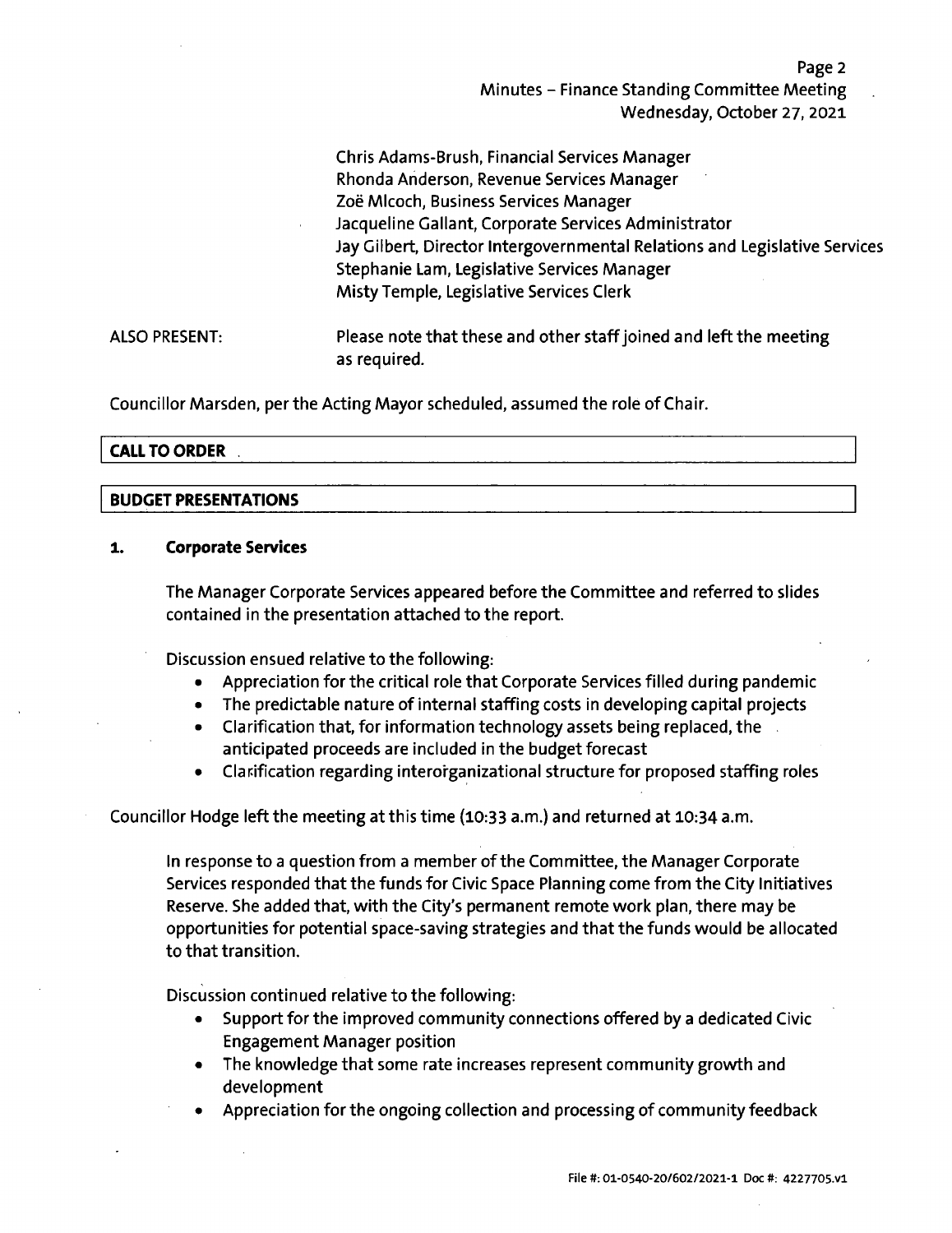Page 2 Minutes - Finance Standing Committee Meeting Wednesday, October 27, 2021

Chris Adams-Brush, Financial Services Manager Rhonda Anderson, Revenue Services Manager Zoë MIcoch, Business Services Manager Jacqueline Gallant, Corporate Services Administrator Jay Gilbert, Director Intergovernmental Relations and Legislative Services Stephanie Lam, Legislative Services Manager Misty Temple, Legislative Services Clerk

ALSO PRESENT: Please note that these and other staff joined and left the meeting as required.

Councillor Marsden, per the Acting Mayor scheduled, assumed the role of Chair.

# **CALL TO ORDER**

#### **BUDGET PRESENTATIONS**

# **1. Corporate Services**

The Manager Corporate Services appeared before the Committee and referred to slides contained in the presentation attached to the report.

Discussion ensued relative to the following:

- Appreciation for the critical role that Corporate Services filled during pandemic
- The predictable nature of internal staffing costs in developing capital projects
- Clarification that, for information technology assets being replaced, the anticipated proceeds are included in the budget forecast
- Clarification regarding interorganizational structure for proposed staffing roles

# Councillor Hodge left the meeting at this time (10:33 a.m.) and returned at 10:34 a.m.

In response to a question from a member of the Committee, the Manager Corporate Services responded that the funds for Civic Space Planning come from the City Initiatives Reserve. She added that, with the City'<sup>s</sup> permanent remote work plan, there may be opportunities for potential space-saving strategies and that the funds would be allocated to that transition.

Discussion continued relative to the following:

- Support for the improved community connections offered by <sup>a</sup> dedicated Civic Engagement Manager position
- The knowledge that some rate increases represent community growth and development
- Appreciation for the ongoing collection and processing of community feedback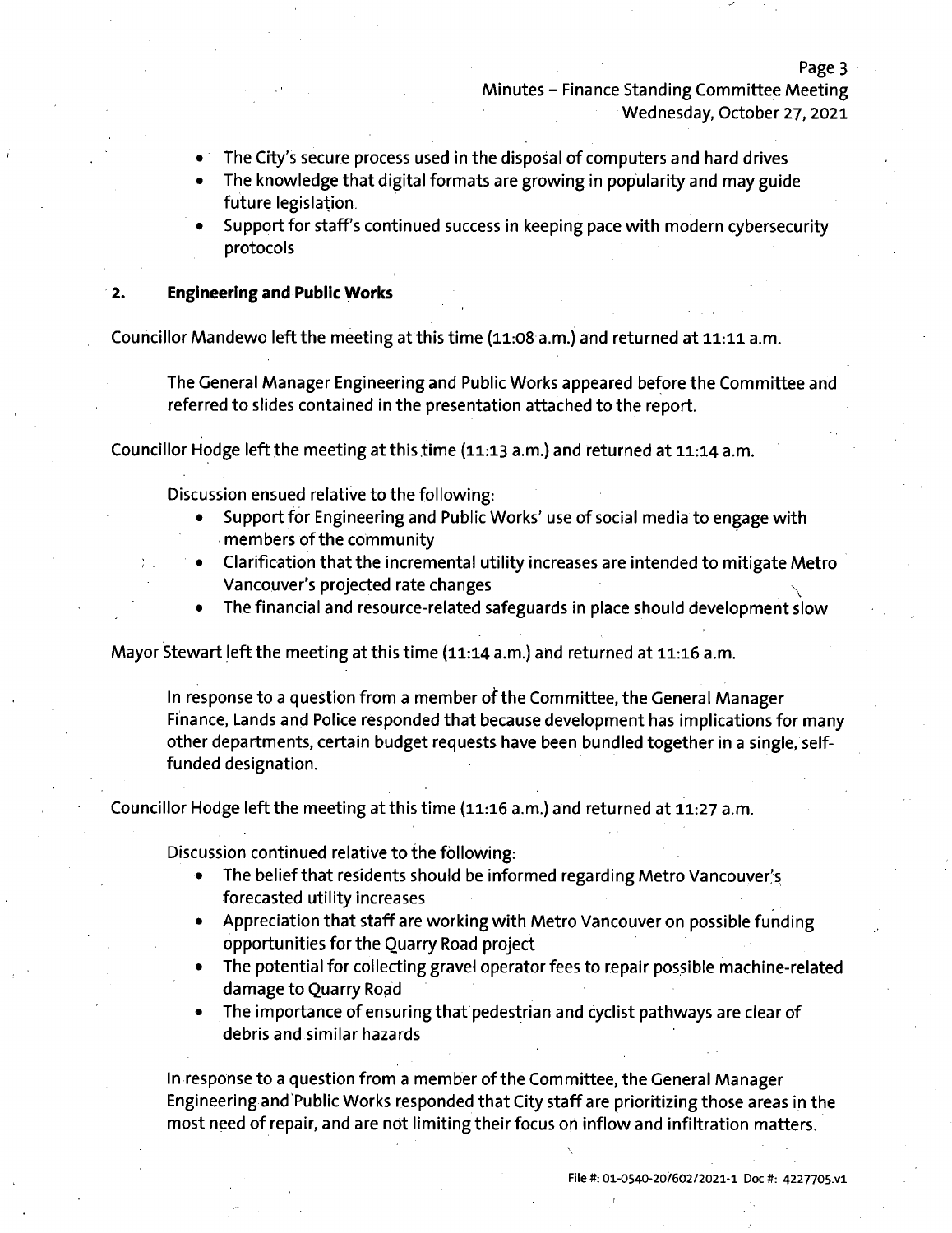Minutes - Finance Standing Committee Meeting Wednesday, October 27, 2021

- The City'<sup>s</sup> secure process used in the disposal of computers and hard drives
- The knowledge that digital formats are growing in popularity and may guide future legislation
- Support for staff's continued success in keeping pace with modern cybersecurity protocols

#### **2. Engineering and Public Works**

Councillor Mandewo left the meeting at this time (11:08 a.m.) and returned at 11:11 a.m.

The General Manager Engineering and Public Works appeared before the Committee and referred to slides contained in the presentation attached to the report.

Councillor Hodge left the meeting at this time (11:13 a.m.) and returned at 11:14 a.m.

Discussion ensued relative to the following:

- Support for Engineering and Public Works'use of social media to engage with members of the community
- Clarification that the incremental utility increases are intended to mitigate Metro Vancouver'<sup>s</sup> projected rate changes
- The financial and resource-related safeguards in place should development slow

Mayor Stewart left the meeting at this time (11:14 a.m.) and returned at 11:16 a.m.

In response to a question from a member of the Committee, the General Manager Finance, Lands and Police responded that because development has implications for many other departments, certain budget requests have been bundled together in a single, selffunded designation.

Councillor Hodge left the meeting at this time (11:16 a.m.) and returned at 11:27 a.m.

Discussion continued relative to the following:

- The belief that residents should be informed regarding Metro Vancouver's forecasted utility increases
- Appreciation that staff are working with Metro Vancouver on possible funding opportunities for the Quarry Road project
- The potential for collecting gravel operator fees to repair possible machine-related damage to Quarry Road
- The importance of ensuring that pedestrian and cyclist pathways are clear of debris and similar hazards

In response to <sup>a</sup> question from <sup>a</sup> member of the Committee, the General Manager Engineering and Public Works responded that City staff are prioritizing those areas in the most need of repair, and are not limiting their focus on inflow and infiltration matters.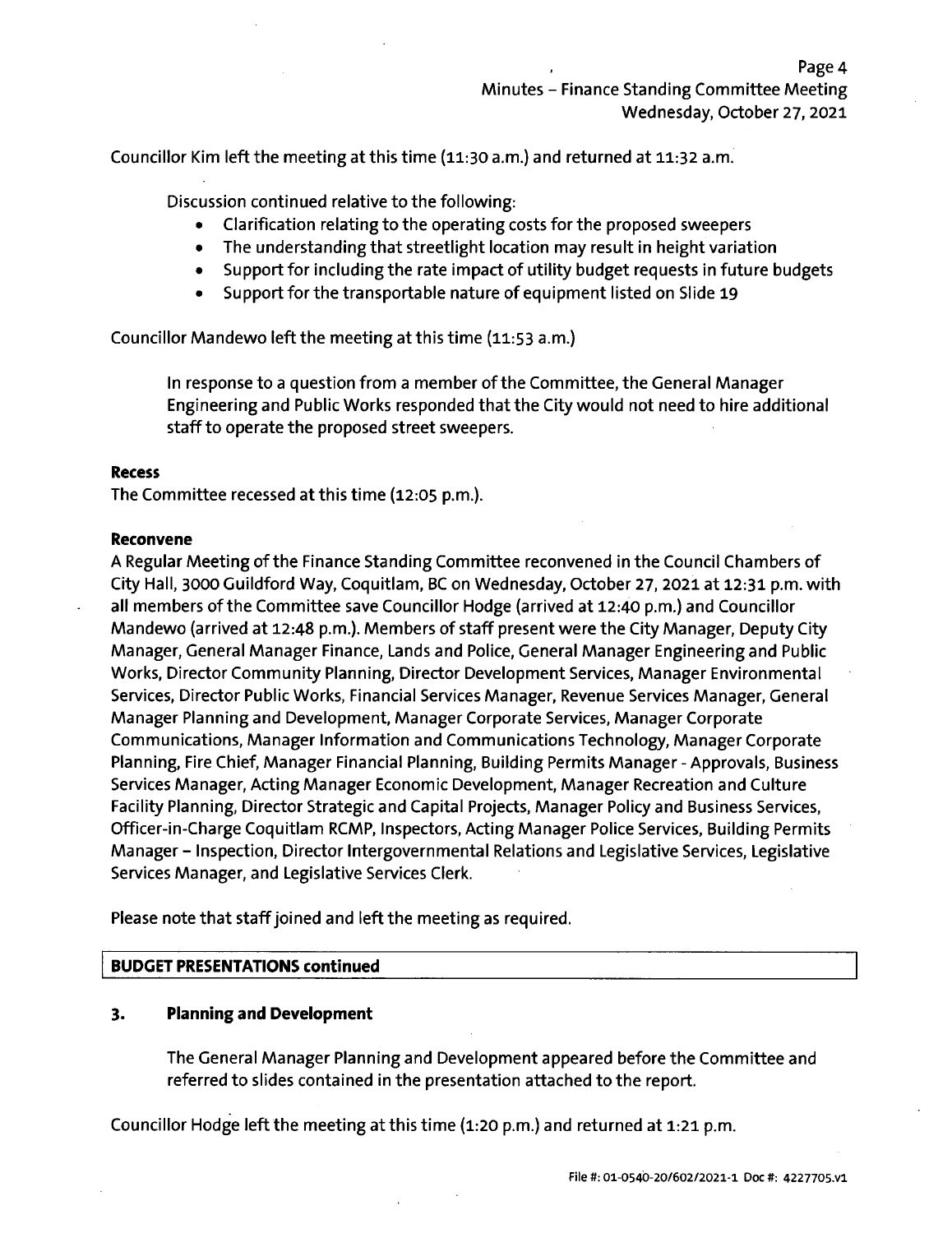Councillor Kim left the meeting at this time (11:30 a.m.) and returned at 11:32 a.m.

Discussion continued relative to the following:

- Clarification relating to the operating costs for the proposed sweepers
- The understanding that streetlight location may result in height variation
- Support for including the rate impact of utility budget requests in future budgets
- Support for the transportable nature of equipment listed on Slide 19

Councillor Mandewo left the meeting at this time (11:53 a.m.)

In response to <sup>a</sup> question from <sup>a</sup> member ofthe Committee, the General Manager Engineering and Public Works responded that the City would not need to hire additional staff to operate the proposed street sweepers.

# **Recess**

The Committee recessed at this time (12:05 p.m.).

#### **Reconvene**

A Regular Meeting of the Finance Standing Committee reconvened in the Council Chambers of City Hall, 3000 Guildford Way, Coquitlam, BC on Wednesday, October 27, 2021 at 12:31 p.m. with all members of the Committee save Councillor Hodge (arrived at 12:40 p.m.) and Councillor Mandewo (arrived at 12:48 p.m.). Members of staff present were the City Manager, Deputy City Manager, General Manager Finance, Lands and Police, General Manager Engineering and Public Works, Director Community Planning, Director Development Services, Manager Environmental Services, Director Public Works, Financial Services Manager, Revenue Services Manager, General Manager Planning and Development, Manager Corporate Services, Manager Corporate Communications, Manager Information and Communications Technology, Manager Corporate Planning, Fire Chief, Manager Financial Planning, Building Permits Manager - Approvals, Business Services Manager, Acting Manager Economic Development, Manager Recreation and Culture Facility Planning, Director Strategic and Capital Projects, Manager Policy and Business Services, Officer-in-Charge Coquitlam RCMP, Inspectors, Acting Manager Police Services, Building Permits Manager - Inspection, Director Intergovernmental Relations and Legislative Services, Legislative Services Manager, and Legislative Services Clerk.

Please note that staff joined and left the meeting as required.

# **BUDGET PRESENTATIONS continued**

# **3. Planning and Development**

The General Manager Planning and Development appeared before the Committee and referred to slides contained in the presentation attached to the report.

Councillor Hodge left the meeting at this time (1:20 p.m.) and returned at 1:21 p.m.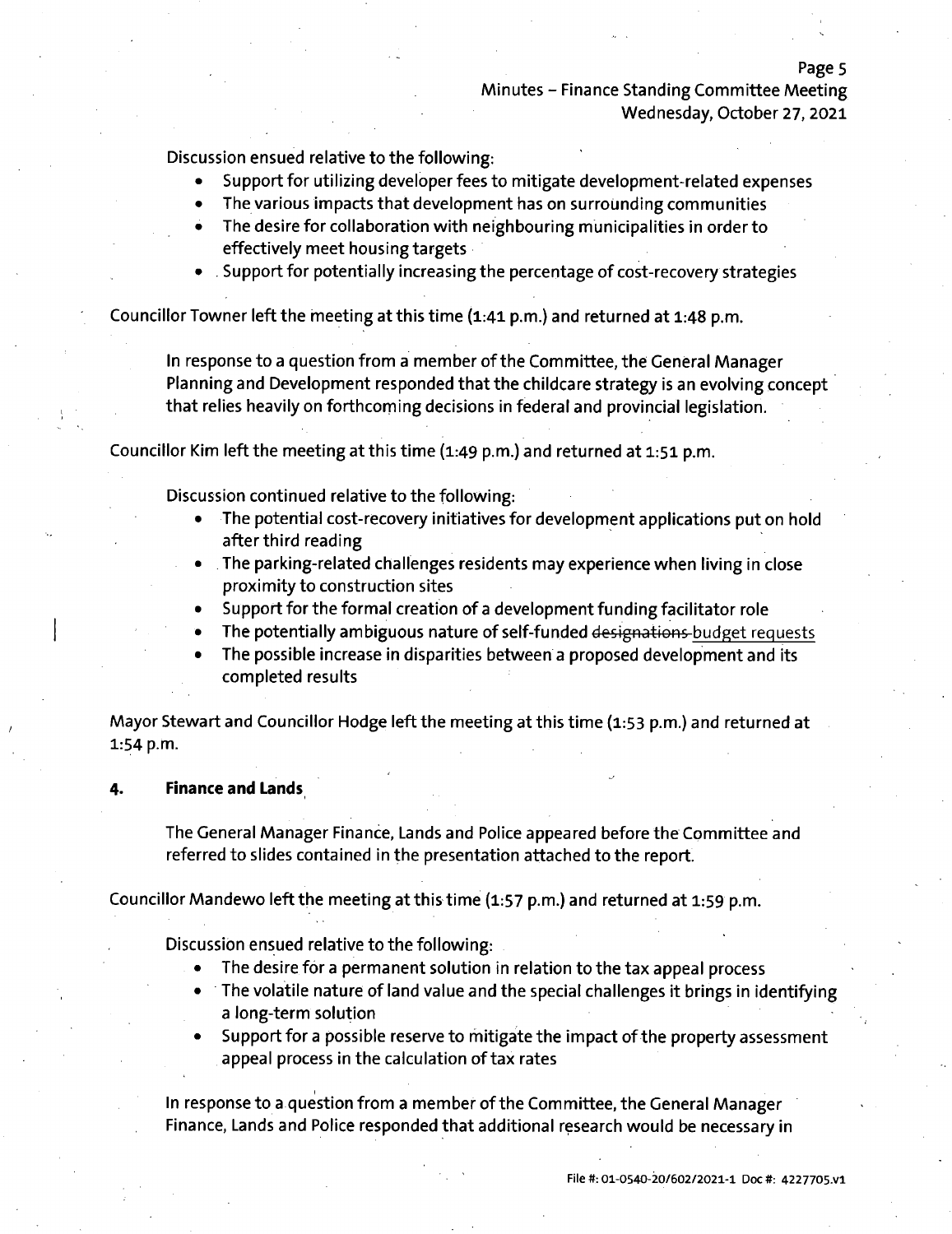# Minutes - Finance Standing Committee Meeting Wednesday, October 27, 2021

Page 5

Discussion ensued relative to the following:

- Support for utilizing developer fees to mitigate development-related expenses
- The various impacts that development has on surrounding communities
- The desire for collaboration with neighbouring municipalities in order to effectively meet housing targets
- Support for potentially increasing the percentage of cost-recovery strategies

Councillor Towner left the meeting at this time (1:41 p.m.) and returned at 1:48 p.m.

In response to a question from a member of the Committee, the General Manager Planning and Development responded that the childcare strategy is an evolving concept that relies heavily on forthcoming decisions in federal and provincial legislation.

Councillor Kim left the meeting at this time (1:49 p.m.) and returned at 1:51 p.m.

Discussion continued relative to the following:

- The potential cost-recovery initiatives for development applications put on hold after third reading
- The parking-related challenges residents may experience when living in close proximity to construction sites
- Support for the formal creation of <sup>a</sup> development funding facilitator role
- The potentially ambiguous nature of self-funded designat<sup>i</sup>ons budget requests
- The possible increase in disparities between <sup>a</sup> proposed development and its completed results

Mayor Stewart and Councillor Hodge left the meeting at this time (1:53 p.m.) and returned at 1:54 p.m.

#### **4. Finance and Lands**

*I*

The General Manager Finance, Lands and Police appeared before the Committee and referred to slides contained in the presentation attached to the report.

Councillor Mandewo left the meeting at this time (1:57 p.m.) and returned at 1:59 p.m.

Discussion ensued relative to the following:

**I**

- The desire for a permanent solution in relation to the tax appeal process
- $\bullet$  The volatile nature of land value and the special challenges it brings in identifying a long-term solution
- Support for a possible reserve to mitigate the impact of the property assessment appeal process in the calculation of tax rates

IIn response to <sup>a</sup> question from <sup>a</sup> member ofthe Committee, the General Manager Finance, Lands and Police responded that additional research would be necessary in